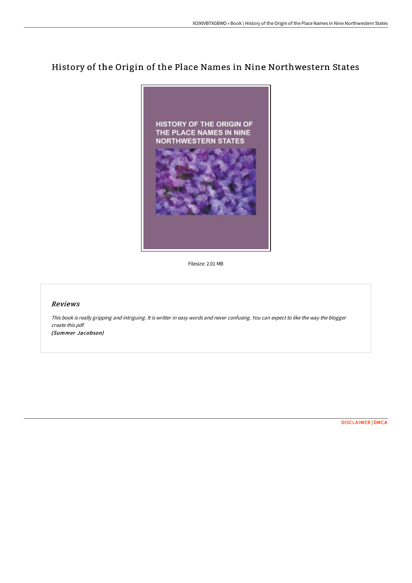# History of the Origin of the Place Names in Nine Northwestern States



Filesize: 2.01 MB

## Reviews

This book is really gripping and intriguing. It is writter in easy words and never confusing. You can expect to like the way the blogger create this pdf. (Summer Jacobson)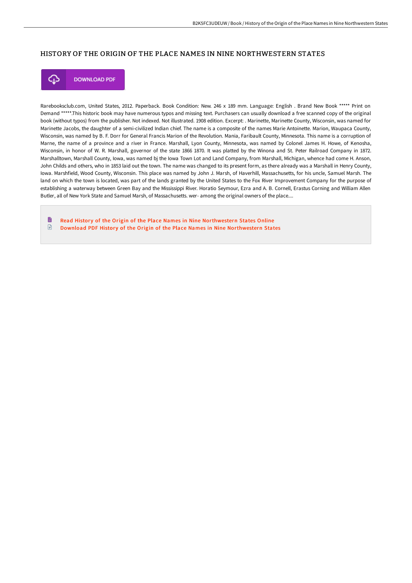## HISTORY OF THE ORIGIN OF THE PLACE NAMES IN NINE NORTHWESTERN STATES



**DOWNLOAD PDF** 

Rarebooksclub.com, United States, 2012. Paperback. Book Condition: New. 246 x 189 mm. Language: English . Brand New Book \*\*\*\*\* Print on Demand \*\*\*\*\*.This historic book may have numerous typos and missing text. Purchasers can usually download a free scanned copy of the original book (without typos) from the publisher. Not indexed. Not illustrated. 1908 edition. Excerpt: . Marinette, Marinette County, Wisconsin, was named for Marinette Jacobs, the daughter of a semi-civilized Indian chief. The name is a composite of the names Marie Antoinette. Marion, Waupaca County, Wisconsin, was named by B. F. Dorr for General Francis Marion of the Revolution. Mania, Faribault County, Minnesota. This name is a corruption of Marne, the name of a province and a river in France. Marshall, Lyon County, Minnesota, was named by Colonel James H. Howe, of Kenosha, Wisconsin, in honor of W. R. Marshall, governor of the state 1866 1870. It was platted by the Winona and St. Peter Railroad Company in 1872. Marshalltown, Marshall County, Iowa, was named bj the Iowa Town Lot and Land Company, from Marshall, Michigan, whence had come H. Anson, John Childs and others, who in 1853 laid out the town. The name was changed to its present form, as there already was a Marshall in Henry County, Iowa. Marshfield, Wood County, Wisconsin. This place was named by John J. Marsh, of Haverhill, Massachusetts, for his uncle, Samuel Marsh. The land on which the town is located, was part of the lands granted by the United States to the Fox River Improvement Company for the purpose of establishing a waterway between Green Bay and the Mississippi River. Horatio Seymour, Ezra and A. B. Cornell, Erastus Corning and William Allen Butler, all of New York State and Samuel Marsh, of Massachusetts. wer- among the original owners of the place....

B Read History of the Origin of the Place Names in Nine [Northwestern](http://techno-pub.tech/history-of-the-origin-of-the-place-names-in-nine.html) States Online  $\textcolor{red}{\Box}$ Download PDF History of the Origin of the Place Names in Nine [Northwestern](http://techno-pub.tech/history-of-the-origin-of-the-place-names-in-nine.html) States